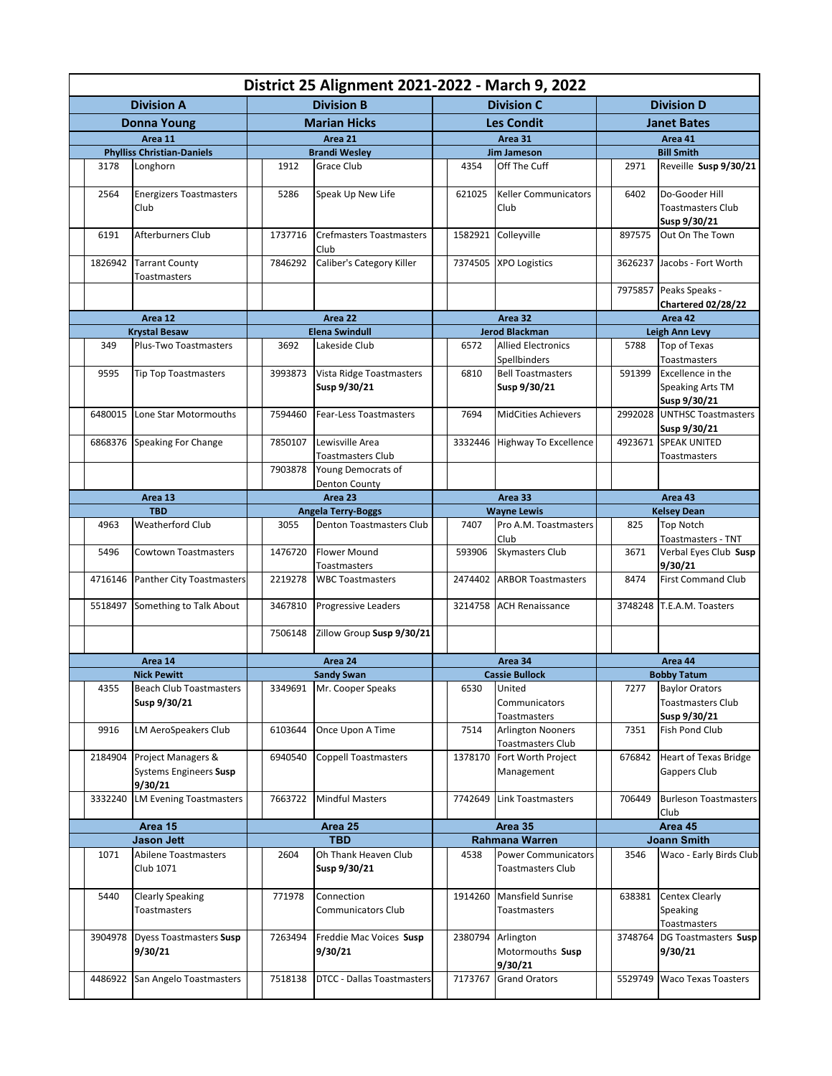| District 25 Alignment 2021-2022 - March 9, 2022 |                                                         |                     |                           |                                          |                   |                       |                                          |                    |                              |                                                       |  |  |
|-------------------------------------------------|---------------------------------------------------------|---------------------|---------------------------|------------------------------------------|-------------------|-----------------------|------------------------------------------|--------------------|------------------------------|-------------------------------------------------------|--|--|
| <b>Division A</b>                               |                                                         |                     | <b>Division B</b>         |                                          |                   |                       | <b>Division C</b>                        | <b>Division D</b>  |                              |                                                       |  |  |
| <b>Donna Young</b>                              |                                                         | <b>Marian Hicks</b> |                           |                                          | <b>Les Condit</b> |                       |                                          | <b>Janet Bates</b> |                              |                                                       |  |  |
| Area 11                                         |                                                         |                     |                           | Area 21                                  |                   | Area 31               |                                          |                    | Area 41                      |                                                       |  |  |
|                                                 | <b>Phylliss Christian-Daniels</b>                       |                     |                           | <b>Brandi Wesley</b>                     |                   |                       | <b>Jim Jameson</b>                       |                    | <b>Bill Smith</b>            |                                                       |  |  |
| 3178                                            | Longhorn                                                |                     | 1912                      | Grace Club                               |                   | 4354                  | Off The Cuff                             |                    | 2971                         | Reveille Susp 9/30/21                                 |  |  |
| 2564                                            | <b>Energizers Toastmasters</b><br>Club                  |                     | 5286                      | Speak Up New Life                        |                   | 621025                | <b>Keller Communicators</b><br>Club      |                    | 6402                         | Do-Gooder Hill<br>Toastmasters Club                   |  |  |
| 6191                                            | <b>Afterburners Club</b>                                |                     | 1737716                   | <b>Crefmasters Toastmasters</b><br>Club  |                   | 1582921               | Colleyville                              |                    | 897575                       | Susp 9/30/21<br>Out On The Town                       |  |  |
| 1826942                                         | <b>Tarrant County</b><br>Toastmasters                   |                     | 7846292                   | Caliber's Category Killer                |                   | 7374505               | <b>XPO Logistics</b>                     |                    | 3626237                      | Jacobs - Fort Worth                                   |  |  |
|                                                 |                                                         |                     |                           |                                          |                   |                       |                                          |                    | 7975857                      | Peaks Speaks -<br><b>Chartered 02/28/22</b>           |  |  |
|                                                 | Area 12                                                 |                     | Area 22                   |                                          |                   |                       | Area 32                                  |                    | Area 42                      |                                                       |  |  |
|                                                 | <b>Krystal Besaw</b>                                    |                     | <b>Elena Swindull</b>     |                                          |                   | <b>Jerod Blackman</b> |                                          |                    | Leigh Ann Levy               |                                                       |  |  |
| 349                                             | Plus-Two Toastmasters                                   |                     | 3692                      | Lakeside Club                            |                   | 6572                  | <b>Allied Electronics</b>                |                    | 5788                         | Top of Texas                                          |  |  |
|                                                 |                                                         |                     |                           |                                          |                   |                       | Spellbinders                             |                    |                              | Toastmasters                                          |  |  |
| 9595                                            | <b>Tip Top Toastmasters</b>                             |                     | 3993873                   | Vista Ridge Toastmasters<br>Susp 9/30/21 |                   | 6810                  | <b>Bell Toastmasters</b><br>Susp 9/30/21 |                    | 591399                       | Excellence in the<br>Speaking Arts TM<br>Susp 9/30/21 |  |  |
| 6480015                                         | Lone Star Motormouths                                   |                     | 7594460                   | <b>Fear-Less Toastmasters</b>            |                   | 7694                  | <b>MidCities Achievers</b>               |                    | 2992028                      | <b>UNTHSC Toastmasters</b><br>Susp 9/30/21            |  |  |
|                                                 | 6868376 Speaking For Change                             |                     | 7850107                   | Lewisville Area<br>Toastmasters Club     |                   | 3332446               | <b>Highway To Excellence</b>             |                    | 4923671                      | <b>SPEAK UNITED</b><br>Toastmasters                   |  |  |
|                                                 |                                                         |                     | 7903878                   | Young Democrats of<br>Denton County      |                   |                       |                                          |                    |                              |                                                       |  |  |
| Area 13                                         |                                                         |                     |                           | Area 23                                  |                   |                       | Area 33                                  |                    |                              | Area 43                                               |  |  |
| <b>TBD</b>                                      |                                                         |                     | <b>Angela Terry-Boggs</b> |                                          |                   | <b>Wayne Lewis</b>    |                                          |                    | <b>Kelsey Dean</b>           |                                                       |  |  |
| 4963                                            | Weatherford Club                                        |                     | 3055                      | <b>Denton Toastmasters Club</b>          |                   | 7407                  | Pro A.M. Toastmasters                    |                    | 825                          | <b>Top Notch</b>                                      |  |  |
| 5496                                            | <b>Cowtown Toastmasters</b>                             |                     | 1476720                   | Flower Mound                             |                   | 593906                | Club<br>Skymasters Club                  |                    | 3671                         | Toastmasters - TNT<br>Verbal Eyes Club Susp           |  |  |
|                                                 |                                                         |                     |                           | Toastmasters                             |                   |                       |                                          |                    |                              | 9/30/21                                               |  |  |
| 4716146                                         | <b>Panther City Toastmasters</b>                        |                     | 2219278                   | <b>WBC Toastmasters</b>                  |                   | 2474402               | <b>ARBOR Toastmasters</b>                |                    | 8474                         | <b>First Command Club</b>                             |  |  |
| 5518497                                         | Something to Talk About                                 |                     | 3467810                   | Progressive Leaders                      |                   | 3214758               | <b>ACH Renaissance</b>                   |                    | T.E.A.M. Toasters<br>3748248 |                                                       |  |  |
|                                                 |                                                         |                     | 7506148                   | Zillow Group Susp 9/30/21                |                   |                       |                                          |                    |                              |                                                       |  |  |
| Area 14                                         |                                                         | Area 24             |                           |                                          |                   |                       | Area 34                                  |                    |                              | Area 44                                               |  |  |
| <b>Nick Pewitt</b>                              |                                                         |                     | <b>Sandy Swan</b>         |                                          |                   | <b>Cassie Bullock</b> |                                          |                    | <b>Bobby Tatum</b>           |                                                       |  |  |
| 4355                                            | Beach Club Toastmasters                                 |                     |                           | 3349691 Mr. Cooper Speaks                |                   | 6530                  | United                                   |                    | 7277                         | <b>Baylor Orators</b>                                 |  |  |
|                                                 | Susp 9/30/21                                            |                     |                           |                                          |                   |                       | Communicators<br>Toastmasters            |                    |                              | <b>Toastmasters Club</b><br>Susp 9/30/21              |  |  |
| 9916                                            | LM AeroSpeakers Club                                    |                     | 6103644                   | Once Upon A Time                         |                   | 7514                  | <b>Arlington Nooners</b>                 |                    | 7351                         | Fish Pond Club                                        |  |  |
|                                                 |                                                         |                     |                           |                                          |                   |                       | <b>Toastmasters Club</b>                 |                    |                              |                                                       |  |  |
| 2184904                                         | Project Managers &<br>Systems Engineers Susp<br>9/30/21 |                     | 6940540                   | <b>Coppell Toastmasters</b>              |                   | 1378170               | Fort Worth Project<br>Management         |                    | 676842                       | <b>Heart of Texas Bridge</b><br>Gappers Club          |  |  |
| 3332240                                         | <b>LM Evening Toastmasters</b>                          |                     | 7663722                   | <b>Mindful Masters</b>                   |                   | 7742649               | Link Toastmasters                        |                    | 706449                       | <b>Burleson Toastmasters</b><br>Club                  |  |  |
| Area 15                                         |                                                         | Area 25             |                           |                                          |                   | Area 35               |                                          |                    | Area 45                      |                                                       |  |  |
| <b>Jason Jett</b>                               |                                                         |                     | <b>TBD</b>                |                                          |                   | <b>Rahmana Warren</b> |                                          |                    | <b>Joann Smith</b>           |                                                       |  |  |
| 1071                                            | Abilene Toastmasters                                    |                     | 2604                      | Oh Thank Heaven Club                     |                   | 4538                  | <b>Power Communicators</b>               |                    | 3546                         | Waco - Early Birds Club                               |  |  |
|                                                 | Club 1071                                               |                     |                           | Susp 9/30/21                             |                   |                       | <b>Toastmasters Club</b>                 |                    |                              |                                                       |  |  |
| 5440                                            | <b>Clearly Speaking</b><br>Toastmasters                 |                     | 771978                    | Connection<br><b>Communicators Club</b>  |                   | 1914260               | Mansfield Sunrise<br>Toastmasters        |                    | 638381                       | Centex Clearly<br>Speaking<br>Toastmasters            |  |  |
|                                                 | 3904978   Dyess Toastmasters Susp<br>9/30/21            |                     | 7263494                   | Freddie Mac Voices Susp<br>9/30/21       |                   | 2380794               | Arlington<br>Motormouths Susp<br>9/30/21 |                    | 3748764                      | DG Toastmasters Susp<br>9/30/21                       |  |  |
|                                                 | 4486922 San Angelo Toastmasters                         |                     | 7518138                   | DTCC - Dallas Toastmasters               |                   | 7173767               | <b>Grand Orators</b>                     |                    | 5529749                      | <b>Waco Texas Toasters</b>                            |  |  |